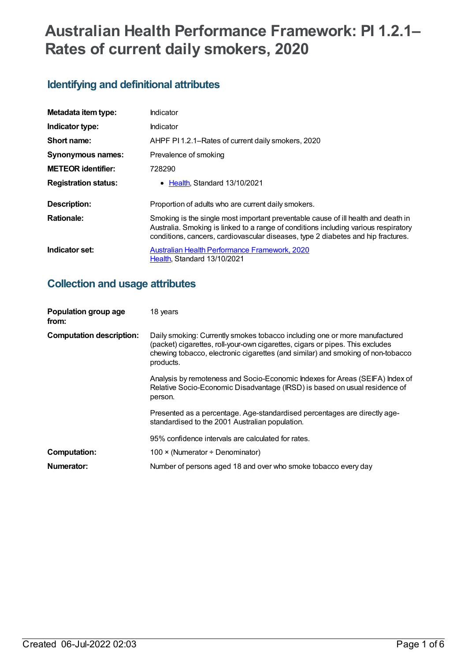# **Australian Health Performance Framework: PI 1.2.1– Rates of current daily smokers, 2020**

## **Identifying and definitional attributes**

| Metadata item type:         | Indicator                                                                                                                                                                                                                                                    |
|-----------------------------|--------------------------------------------------------------------------------------------------------------------------------------------------------------------------------------------------------------------------------------------------------------|
| Indicator type:             | Indicator                                                                                                                                                                                                                                                    |
| Short name:                 | AHPF PI 1.2.1–Rates of current daily smokers, 2020                                                                                                                                                                                                           |
| <b>Synonymous names:</b>    | Prevalence of smoking                                                                                                                                                                                                                                        |
| <b>METEOR identifier:</b>   | 728290                                                                                                                                                                                                                                                       |
| <b>Registration status:</b> | • Health, Standard 13/10/2021                                                                                                                                                                                                                                |
| Description:                | Proportion of adults who are current daily smokers.                                                                                                                                                                                                          |
| <b>Rationale:</b>           | Smoking is the single most important preventable cause of ill health and death in<br>Australia. Smoking is linked to a range of conditions including various respiratory<br>conditions, cancers, cardiovascular diseases, type 2 diabetes and hip fractures. |
| Indicator set:              | Australian Health Performance Framework, 2020<br>Health, Standard 13/10/2021                                                                                                                                                                                 |

## **Collection and usage attributes**

| Population group age<br>from:   | 18 years                                                                                                                                                                                                                                                    |
|---------------------------------|-------------------------------------------------------------------------------------------------------------------------------------------------------------------------------------------------------------------------------------------------------------|
| <b>Computation description:</b> | Daily smoking: Currently smokes tobacco including one or more manufactured<br>(packet) cigarettes, roll-your-own cigarettes, cigars or pipes. This excludes<br>chewing tobacco, electronic cigarettes (and similar) and smoking of non-tobacco<br>products. |
|                                 | Analysis by remoteness and Socio-Economic Indexes for Areas (SEIFA) Index of<br>Relative Socio-Economic Disadvantage (IRSD) is based on usual residence of<br>person.                                                                                       |
|                                 | Presented as a percentage. Age-standardised percentages are directly age-<br>standardised to the 2001 Australian population.                                                                                                                                |
|                                 | 95% confidence intervals are calculated for rates.                                                                                                                                                                                                          |
| <b>Computation:</b>             | 100 $\times$ (Numerator ÷ Denominator)                                                                                                                                                                                                                      |
| Numerator:                      | Number of persons aged 18 and over who smoke tobacco every day                                                                                                                                                                                              |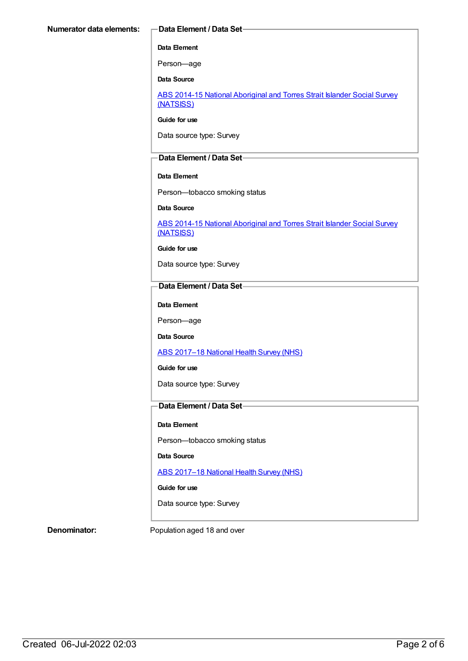#### **Data Element**

Person—age

**Data Source**

ABS 2014-15 National [Aboriginal](https://meteor.aihw.gov.au/content/644707) and Torres Strait Islander Social Survey (NATSISS)

**Guide for use**

Data source type: Survey

### **Data Element / Data Set**

#### **Data Element**

Person—tobacco smoking status

#### **Data Source**

ABS 2014-15 National [Aboriginal](https://meteor.aihw.gov.au/content/644707) and Torres Strait Islander Social Survey (NATSISS)

**Guide for use**

Data source type: Survey

### **Data Element / Data Set**

**Data Element**

Person—age

**Data Source**

ABS [2017–18](https://meteor.aihw.gov.au/content/716316) National Health Survey (NHS)

**Guide for use**

Data source type: Survey

### **Data Element / Data Set**

**Data Element**

Person—tobacco smoking status

**Data Source**

ABS [2017–18](https://meteor.aihw.gov.au/content/716316) National Health Survey (NHS)

**Guide for use**

Data source type: Survey

**Denominator:** Population aged 18 and over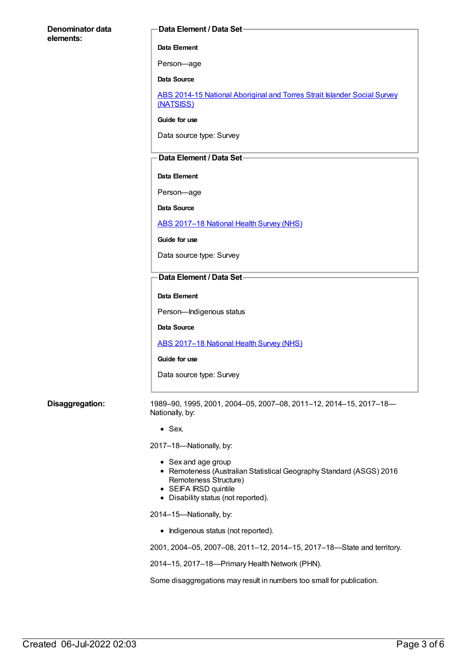| Denominator data | Data Element / Data Set-                                                                                                                                                            |
|------------------|-------------------------------------------------------------------------------------------------------------------------------------------------------------------------------------|
| elements:        | Data Element                                                                                                                                                                        |
|                  | Person-age                                                                                                                                                                          |
|                  | <b>Data Source</b>                                                                                                                                                                  |
|                  | ABS 2014-15 National Aboriginal and Torres Strait Islander Social Survey<br>(NATSISS)                                                                                               |
|                  | Guide for use                                                                                                                                                                       |
|                  | Data source type: Survey                                                                                                                                                            |
|                  | Data Element / Data Set-                                                                                                                                                            |
|                  | Data Element                                                                                                                                                                        |
|                  | Person-age                                                                                                                                                                          |
|                  | <b>Data Source</b>                                                                                                                                                                  |
|                  | ABS 2017-18 National Health Survey (NHS)                                                                                                                                            |
|                  | Guide for use                                                                                                                                                                       |
|                  | Data source type: Survey                                                                                                                                                            |
|                  | Data Element / Data Set-                                                                                                                                                            |
|                  | Data Element                                                                                                                                                                        |
|                  | Person-Indigenous status                                                                                                                                                            |
|                  | Data Source                                                                                                                                                                         |
|                  | ABS 2017-18 National Health Survey (NHS)                                                                                                                                            |
|                  | Guide for use                                                                                                                                                                       |
|                  | Data source type: Survey                                                                                                                                                            |
| Disaggregation:  | 1989-90, 1995, 2001, 2004-05, 2007-08, 2011-12, 2014-15, 2017-18-<br>Nationally, by:                                                                                                |
|                  | $•$ Sex.                                                                                                                                                                            |
|                  | 2017-18-Nationally, by:                                                                                                                                                             |
|                  | • Sex and age group<br>• Remoteness (Australian Statistical Geography Standard (ASGS) 2016<br>Remoteness Structure)<br>• SEIFA IRSD quintile<br>• Disability status (not reported). |
|                  | 2014-15-Nationally, by:                                                                                                                                                             |
|                  | • Indigenous status (not reported).                                                                                                                                                 |
|                  | 2001, 2004-05, 2007-08, 2011-12, 2014-15, 2017-18-State and territory.                                                                                                              |
|                  | 2014-15, 2017-18-Primary Health Network (PHN).                                                                                                                                      |
|                  | Some disaggregations may result in numbers too small for publication.                                                                                                               |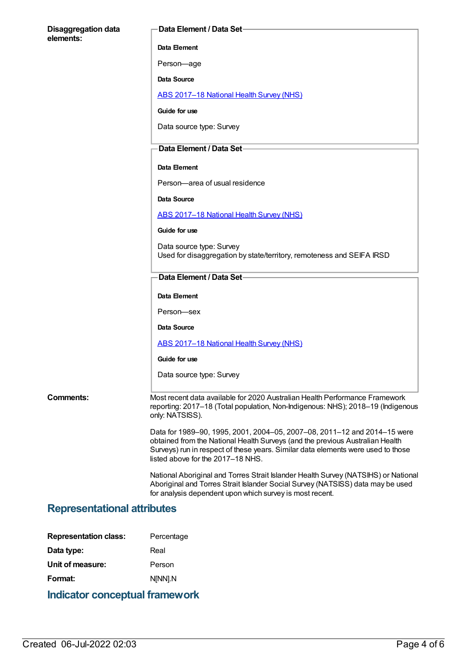| <b>Disaggregation data</b>         | <b>Data Element / Data Set-</b>                                                                                                                                                                                                                                                    |
|------------------------------------|------------------------------------------------------------------------------------------------------------------------------------------------------------------------------------------------------------------------------------------------------------------------------------|
| elements:                          | Data Element                                                                                                                                                                                                                                                                       |
|                                    | Person-age                                                                                                                                                                                                                                                                         |
|                                    | Data Source                                                                                                                                                                                                                                                                        |
|                                    | ABS 2017-18 National Health Survey (NHS)                                                                                                                                                                                                                                           |
|                                    | Guide for use                                                                                                                                                                                                                                                                      |
|                                    | Data source type: Survey                                                                                                                                                                                                                                                           |
|                                    | Data Element / Data Set-                                                                                                                                                                                                                                                           |
|                                    | Data Element                                                                                                                                                                                                                                                                       |
|                                    | Person-area of usual residence                                                                                                                                                                                                                                                     |
|                                    | Data Source                                                                                                                                                                                                                                                                        |
|                                    | ABS 2017-18 National Health Survey (NHS)                                                                                                                                                                                                                                           |
|                                    | Guide for use                                                                                                                                                                                                                                                                      |
|                                    | Data source type: Survey                                                                                                                                                                                                                                                           |
|                                    | Used for disaggregation by state/territory, remoteness and SEIFA IRSD                                                                                                                                                                                                              |
|                                    | Data Element / Data Set-                                                                                                                                                                                                                                                           |
|                                    | Data Element                                                                                                                                                                                                                                                                       |
|                                    | Person-sex                                                                                                                                                                                                                                                                         |
|                                    | Data Source                                                                                                                                                                                                                                                                        |
|                                    | ABS 2017-18 National Health Survey (NHS)                                                                                                                                                                                                                                           |
|                                    | Guide for use                                                                                                                                                                                                                                                                      |
|                                    | Data source type: Survey                                                                                                                                                                                                                                                           |
| <b>Comments:</b>                   | Most recent data available for 2020 Australian Health Performance Framework<br>reporting: 2017-18 (Total population, Non-Indigenous: NHS); 2018-19 (Indigenous<br>only: NATSISS).                                                                                                  |
|                                    | Data for 1989–90, 1995, 2001, 2004–05, 2007–08, 2011–12 and 2014–15 were<br>obtained from the National Health Surveys (and the previous Australian Health<br>Surveys) run in respect of these years. Similar data elements were used to those<br>listed above for the 2017-18 NHS. |
|                                    | National Aboriginal and Torres Strait Islander Health Survey (NATSIHS) or National<br>Aboriginal and Torres Strait Islander Social Survey (NATSISS) data may be used<br>for analysis dependent upon which survey is most recent.                                                   |
| <b>Representational attributes</b> |                                                                                                                                                                                                                                                                                    |
| <b>Representation class:</b>       | Percentage                                                                                                                                                                                                                                                                         |
| Data type:                         | Real                                                                                                                                                                                                                                                                               |
| Unit of measure:                   | Person                                                                                                                                                                                                                                                                             |
| Format:                            | N[NN].N                                                                                                                                                                                                                                                                            |

**Indicator conceptual framework**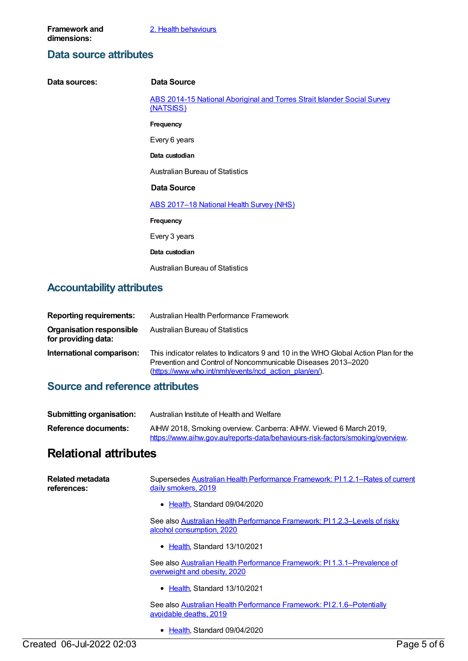## **Data source attributes**

| Data sources:                    | Data Source                                                                           |
|----------------------------------|---------------------------------------------------------------------------------------|
|                                  | ABS 2014-15 National Aboriginal and Torres Strait Islander Social Survey<br>(NATSISS) |
|                                  | Frequency                                                                             |
|                                  | Every 6 years                                                                         |
|                                  | Data custodian                                                                        |
|                                  | <b>Australian Bureau of Statistics</b>                                                |
|                                  | Data Source                                                                           |
|                                  | ABS 2017-18 National Health Survey (NHS)                                              |
|                                  | Frequency                                                                             |
|                                  | Every 3 years                                                                         |
|                                  | Data custodian                                                                        |
|                                  | <b>Australian Bureau of Statistics</b>                                                |
| <b>Accountability attributes</b> |                                                                                       |

## **Accountability attributes**

| <b>Reporting requirements:</b>                         | Australian Health Performance Framework                                                                                                                                                                      |
|--------------------------------------------------------|--------------------------------------------------------------------------------------------------------------------------------------------------------------------------------------------------------------|
| <b>Organisation responsible</b><br>for providing data: | <b>Australian Bureau of Statistics</b>                                                                                                                                                                       |
| International comparison:                              | This indicator relates to Indicators 9 and 10 in the WHO Global Action Plan for the<br>Prevention and Control of Noncommunicable Diseases 2013–2020<br>(https://www.who.int/nmh/events/ncd action plan/en/). |

## **Source and reference attributes**

| <b>Submitting organisation:</b> | Australian Institute of Health and Welfare                                                                                                          |
|---------------------------------|-----------------------------------------------------------------------------------------------------------------------------------------------------|
| Reference documents:            | AIHW 2018, Smoking overview. Canberra: AIHW. Viewed 6 March 2019,<br>https://www.aihw.gov.au/reports-data/behaviours-risk-factors/smoking/overview. |

## **Relational attributes**

| Related metadata<br>references: | Supersedes Australian Health Performance Framework: PI 1.2.1–Rates of current<br>daily smokers, 2019    |
|---------------------------------|---------------------------------------------------------------------------------------------------------|
|                                 | • Health, Standard 09/04/2020                                                                           |
|                                 | See also Australian Health Performance Framework: PI1.2.3-Levels of risky<br>alcohol consumption, 2020  |
|                                 | • Health, Standard 13/10/2021                                                                           |
|                                 | See also Australian Health Performance Framework: PI1.3.1-Prevalence of<br>overweight and obesity, 2020 |
|                                 | • Health, Standard 13/10/2021                                                                           |
|                                 | See also Australian Health Performance Framework: PI2.1.6–Potentially<br>avoidable deaths, 2019         |
|                                 | • Health Standard 09/04/2020                                                                            |